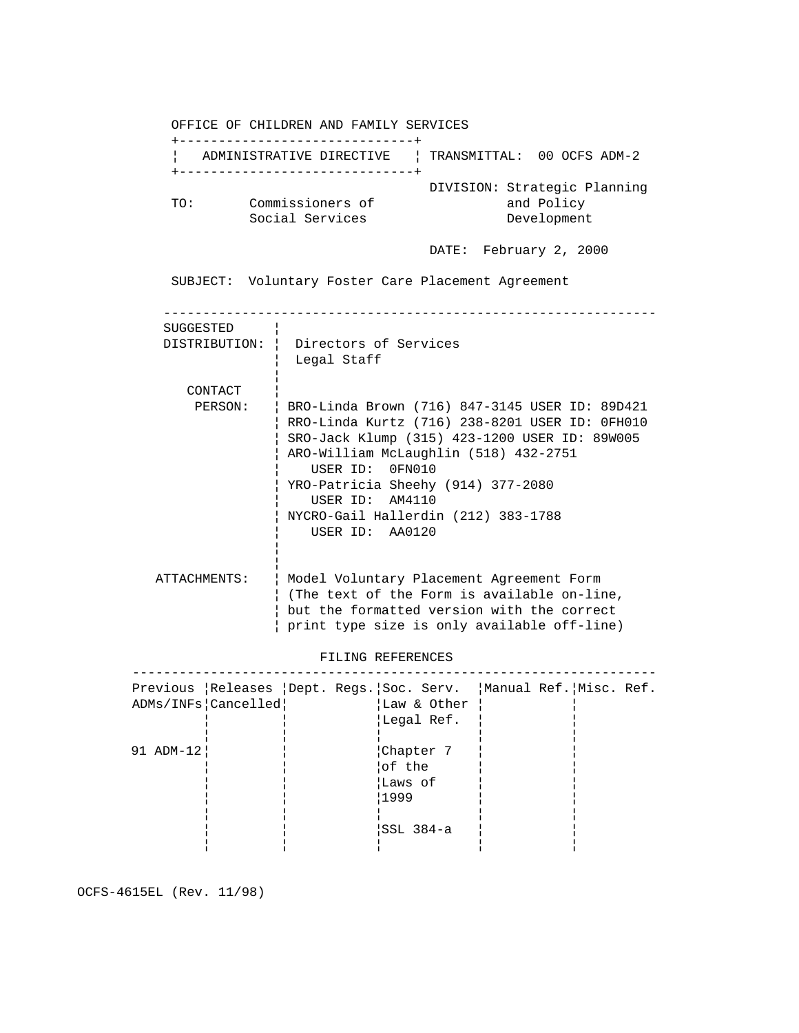OFFICE OF CHILDREN AND FAMILY SERVICES +------------------------------+ ¦ ADMINISTRATIVE DIRECTIVE ¦ TRANSMITTAL: 00 OCFS ADM-2 +------------------------------+ DIVISION: Strategic Planning TO: Commissioners of and Policy Social Services **Development**  DATE: February 2, 2000 SUBJECT: Voluntary Foster Care Placement Agreement --------------------------------------------------------------- SUGGESTED ¦ DISTRIBUTION: ¦ Directors of Services ¦ Legal Staff in the control of the control of the control of the control of the control of the control of the control of the CONTACT ¦ PERSON: ¦ BRO-Linda Brown (716) 847-3145 USER ID: 89D421 ¦ RRO-Linda Kurtz (716) 238-8201 USER ID: 0FH010 ¦ SRO-Jack Klump (315) 423-1200 USER ID: 89W005 ¦ ARO-William McLaughlin (518) 432-2751 ¦ USER ID: 0FN010 ¦ YRO-Patricia Sheehy (914) 377-2080 ¦ USER ID: AM4110 ¦ NYCRO-Gail Hallerdin (212) 383-1788 ¦ USER ID: AA0120 in the control of the control of the control of the control of the control of the control of the control of the in the control of the control of the control of the control of the control of the control of the control of the ATTACHMENTS: ¦ Model Voluntary Placement Agreement Form ¦ (The text of the Form is available on-line, ¦ but the formatted version with the correct ¦ print type size is only available off-line) FILING REFERENCES ------------------------------------------------------------------- Previous ¦Releases ¦Dept. Regs.¦Soc. Serv. ¦Manual Ref.¦Misc. Ref. ADMs/INFs|Cancelled| |Law & Other | ¦ ¦ ¦Legal Ref. ¦ ¦ ¦ ¦ ¦ ¦ ¦ 91 ADM-12¦¦ ¦¦ ¦¦Chapter 7 ¦¦ ¦¦ ¦¦ ¦¦ ¦¦of the ¦¦ ¦¦ ¦¦ ¦¦ ¦¦Laws of ¦¦ ¦¦ ¦¦ ¦¦ ¦¦1999 ¦¦ ¦¦ ¦¦ ¦¦ ¦¦ ¦¦ ¦¦ ¦¦ ¦¦ ¦¦SSL 384-a ¦¦ ¦¦ ¦¦ ¦¦ ¦¦ ¦¦ ¦¦

OCFS-4615EL (Rev. 11/98)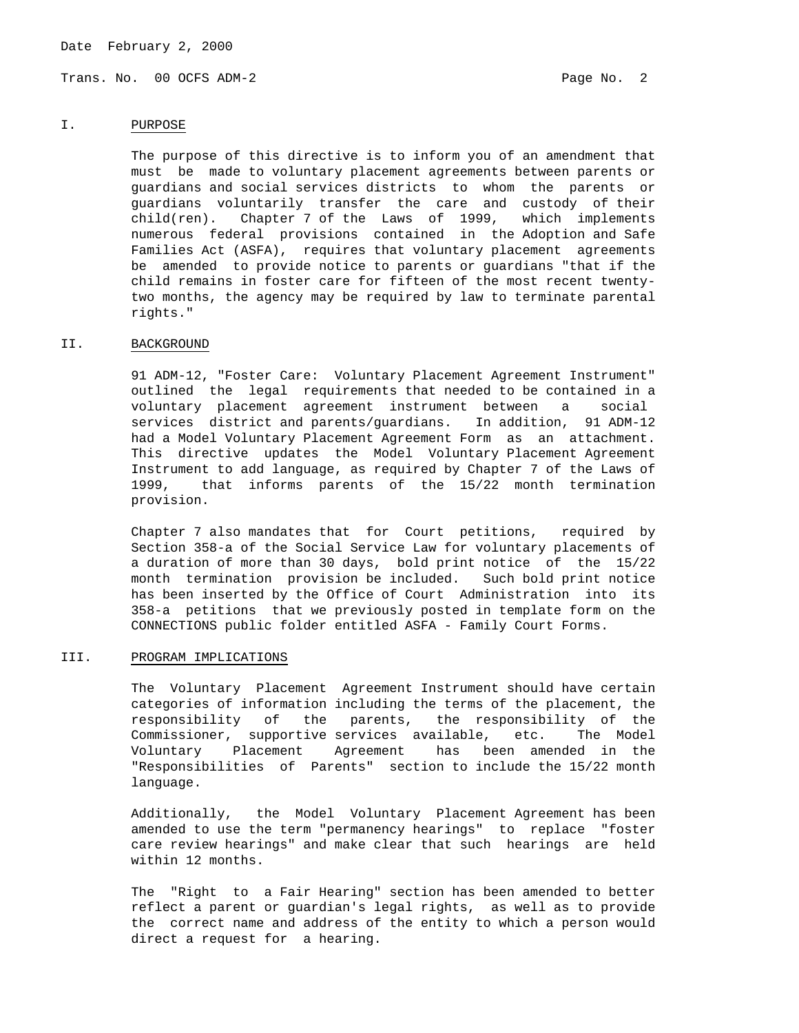Date February 2, 2000

Trans. No. 00 OCFS ADM-2 **Page No. 2** Page No. 2

## I. PURPOSE

 The purpose of this directive is to inform you of an amendment that must be made to voluntary placement agreements between parents or guardians and social services districts to whom the parents or guardians voluntarily transfer the care and custody of their  $child$ (ren). Chapter 7 of the Laws of 1999, which implements numerous federal provisions contained in the Adoption and Safe Families Act (ASFA), requires that voluntary placement agreements be amended to provide notice to parents or guardians "that if the child remains in foster care for fifteen of the most recent twenty two months, the agency may be required by law to terminate parental rights."

## II. BACKGROUND

 91 ADM-12, "Foster Care: Voluntary Placement Agreement Instrument" outlined the legal requirements that needed to be contained in a voluntary placement agreement instrument between a social services district and parents/guardians. In addition, 91 ADM-12 had a Model Voluntary Placement Agreement Form as an attachment. This directive updates the Model Voluntary Placement Agreement Instrument to add language, as required by Chapter 7 of the Laws of 1999, that informs parents of the 15/22 month termination provision.

 Chapter 7 also mandates that for Court petitions, required by Section 358-a of the Social Service Law for voluntary placements of a duration of more than 30 days, bold print notice of the 15/22 month termination provision be included. Such bold print notice has been inserted by the Office of Court Administration into its 358-a petitions that we previously posted in template form on the CONNECTIONS public folder entitled ASFA - Family Court Forms.

## III. PROGRAM IMPLICATIONS

 The Voluntary Placement Agreement Instrument should have certain categories of information including the terms of the placement, the responsibility of the parents, the responsibility of the Commissioner, supportive services available, etc. The Model Voluntary Placement Agreement has been amended in the "Responsibilities of Parents" section to include the 15/22 month language.

 Additionally, the Model Voluntary Placement Agreement has been amended to use the term "permanency hearings" to replace "foster care review hearings" and make clear that such hearings are held within 12 months.

 The "Right to a Fair Hearing" section has been amended to better reflect a parent or guardian's legal rights, as well as to provide the correct name and address of the entity to which a person would direct a request for a hearing.